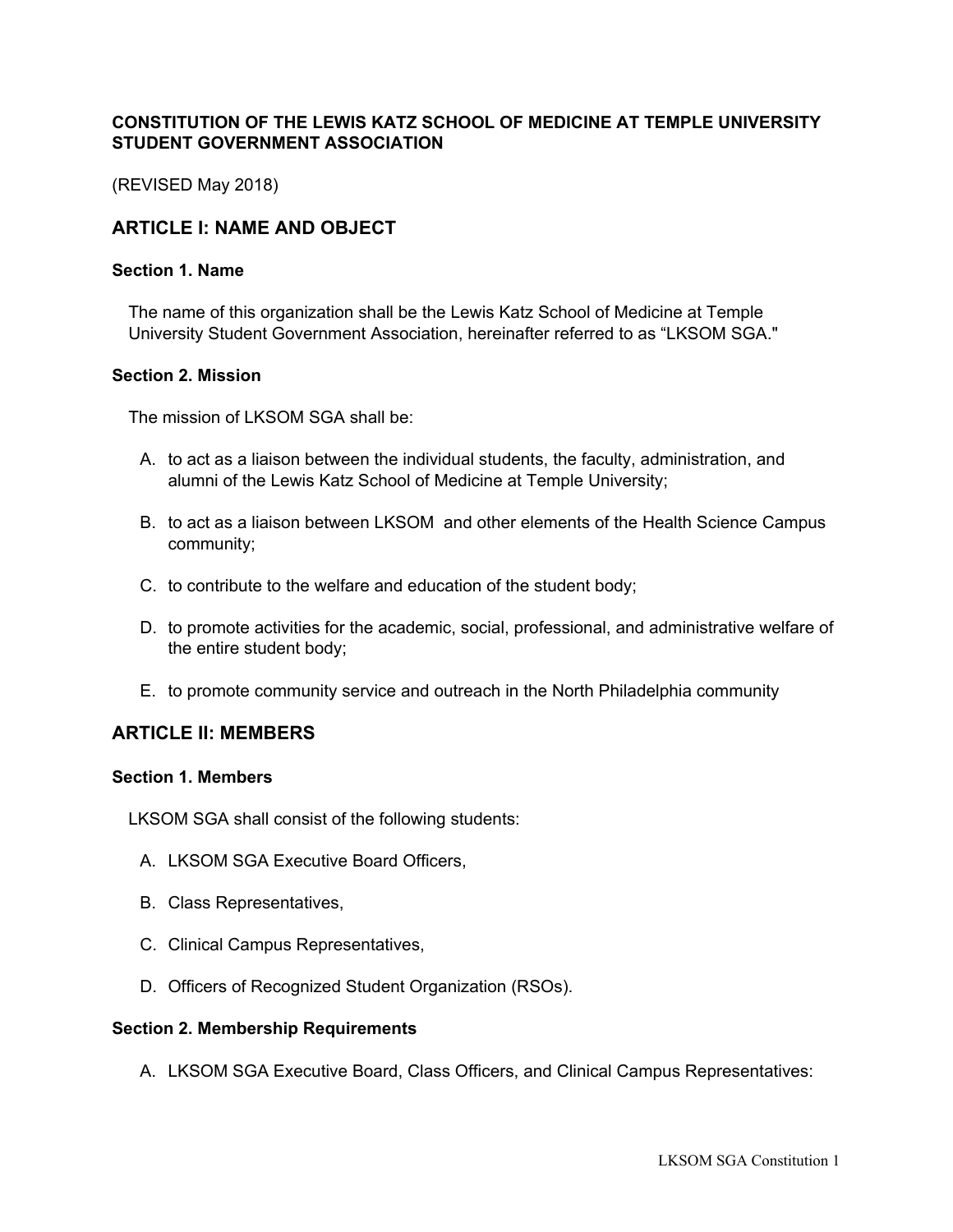# **CONSTITUTION OF THE LEWIS KATZ SCHOOL OF MEDICINE AT TEMPLE UNIVERSITY STUDENT GOVERNMENT ASSOCIATION**

(REVISED May 2018)

# **ARTICLE I: NAME AND OBJECT**

#### **Section 1. Name**

The name of this organization shall be the Lewis Katz School of Medicine at Temple University Student Government Association, hereinafter referred to as "LKSOM SGA."

#### **Section 2. Mission**

The mission of LKSOM SGA shall be:

- A. to act as a liaison between the individual students, the faculty, administration, and alumni of the Lewis Katz School of Medicine at Temple University;
- B. to act as a liaison between LKSOM and other elements of the Health Science Campus community;
- C. to contribute to the welfare and education of the student body;
- D. to promote activities for the academic, social, professional, and administrative welfare of the entire student body;
- E. to promote community service and outreach in the North Philadelphia community

### **ARTICLE II: MEMBERS**

#### **Section 1. Members**

LKSOM SGA shall consist of the following students:

- A. LKSOM SGA Executive Board Officers,
- B. Class Representatives,
- C. Clinical Campus Representatives,
- D. Officers of Recognized Student Organization (RSOs).

#### **Section 2. Membership Requirements**

A. LKSOM SGA Executive Board, Class Officers, and Clinical Campus Representatives: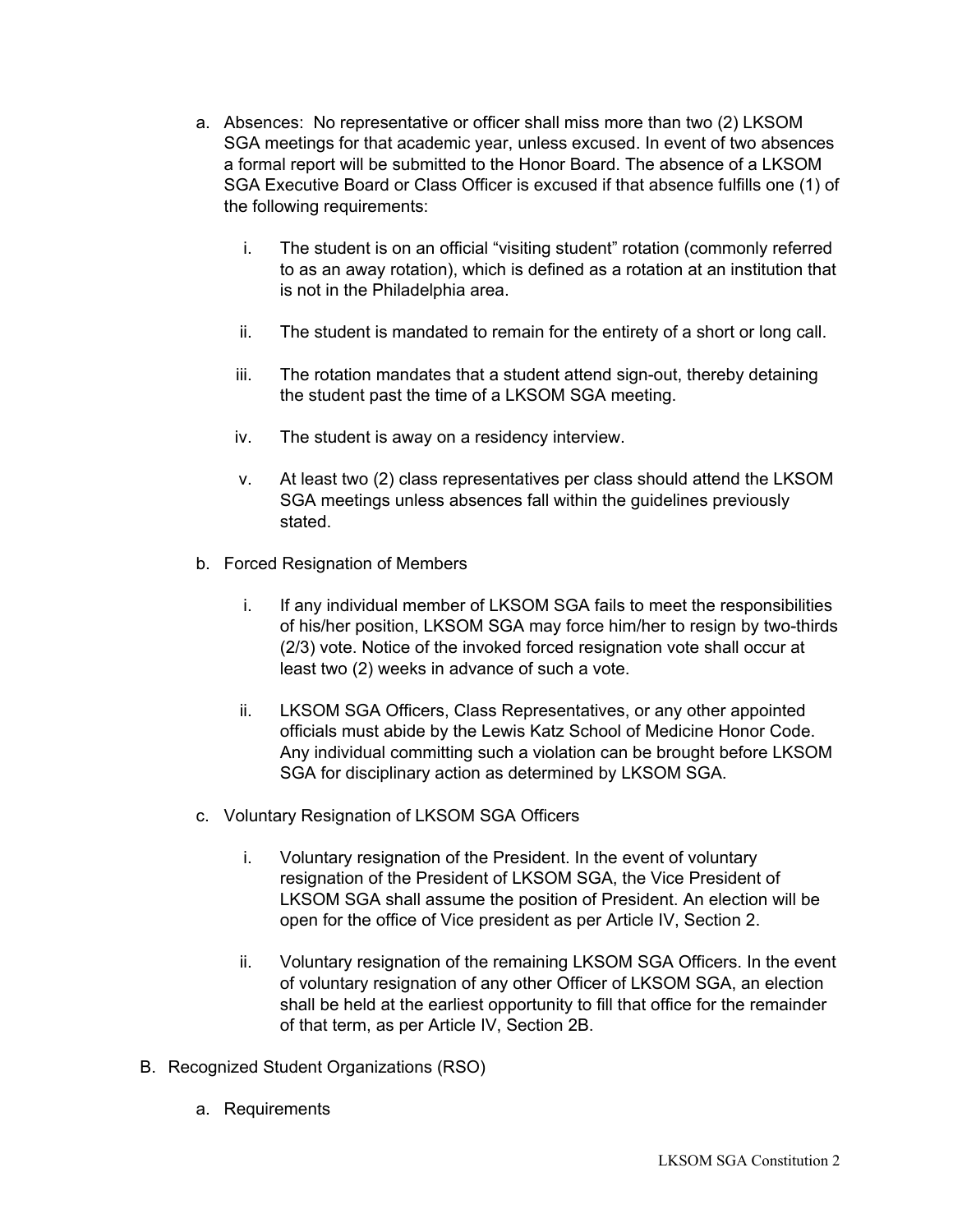- a. Absences: No representative or officer shall miss more than two (2) LKSOM SGA meetings for that academic year, unless excused. In event of two absences a formal report will be submitted to the Honor Board. The absence of a LKSOM SGA Executive Board or Class Officer is excused if that absence fulfills one (1) of the following requirements:
	- i. The student is on an official "visiting student" rotation (commonly referred to as an away rotation), which is defined as a rotation at an institution that is not in the Philadelphia area.
	- ii. The student is mandated to remain for the entirety of a short or long call.
	- iii. The rotation mandates that a student attend sign-out, thereby detaining the student past the time of a LKSOM SGA meeting.
	- iv. The student is away on a residency interview.
	- v. At least two (2) class representatives per class should attend the LKSOM SGA meetings unless absences fall within the guidelines previously stated.
- b. Forced Resignation of Members
	- i. If any individual member of LKSOM SGA fails to meet the responsibilities of his/her position, LKSOM SGA may force him/her to resign by two-thirds (2/3) vote. Notice of the invoked forced resignation vote shall occur at least two (2) weeks in advance of such a vote.
	- ii. LKSOM SGA Officers, Class Representatives, or any other appointed officials must abide by the Lewis Katz School of Medicine Honor Code. Any individual committing such a violation can be brought before LKSOM SGA for disciplinary action as determined by LKSOM SGA.
- c. Voluntary Resignation of LKSOM SGA Officers
	- i. Voluntary resignation of the President. In the event of voluntary resignation of the President of LKSOM SGA, the Vice President of LKSOM SGA shall assume the position of President. An election will be open for the office of Vice president as per Article IV, Section 2.
	- ii. Voluntary resignation of the remaining LKSOM SGA Officers. In the event of voluntary resignation of any other Officer of LKSOM SGA, an election shall be held at the earliest opportunity to fill that office for the remainder of that term, as per Article IV, Section 2B.
- B. Recognized Student Organizations (RSO)
	- a. Requirements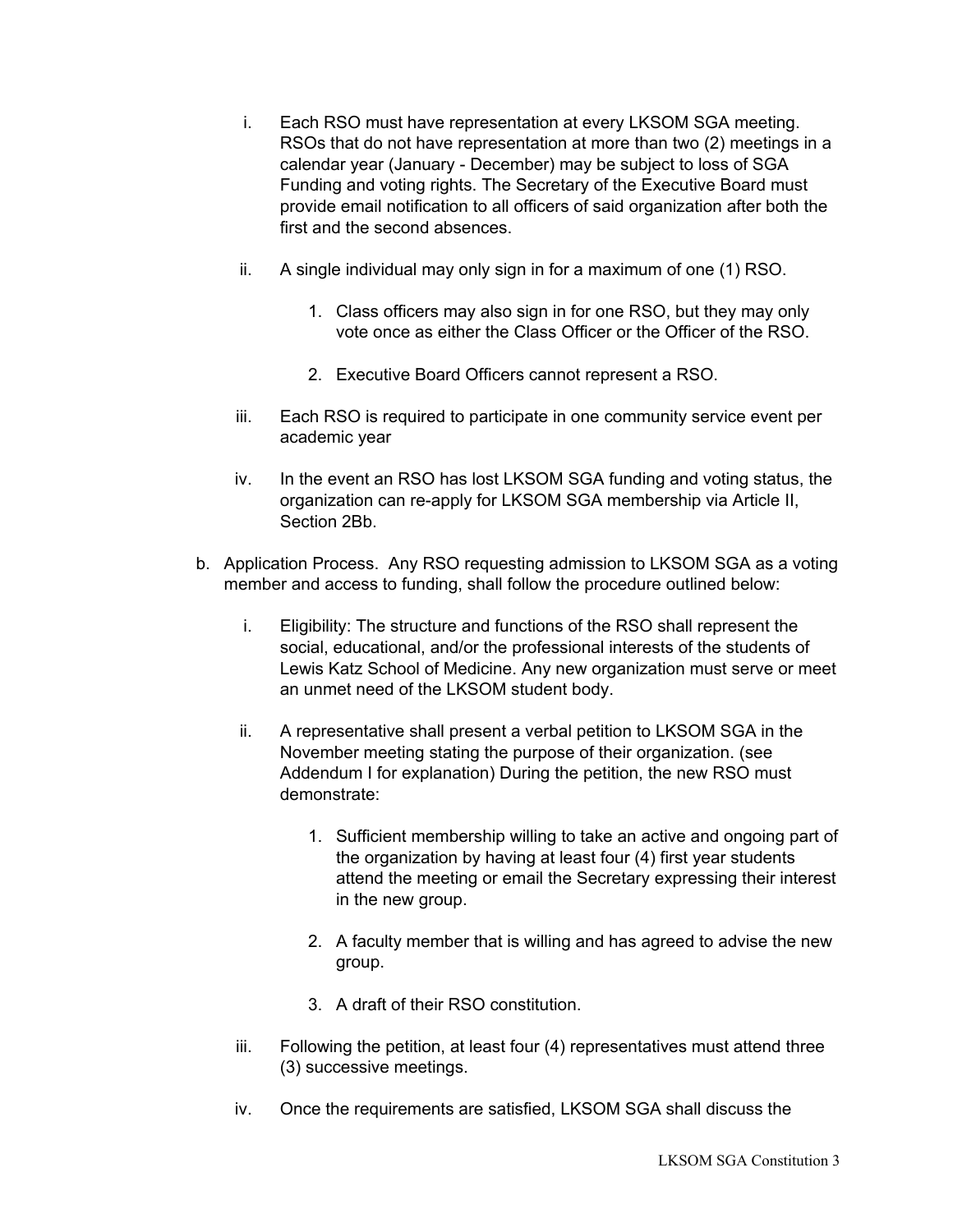- i. Each RSO must have representation at every LKSOM SGA meeting. RSOs that do not have representation at more than two (2) meetings in a calendar year (January - December) may be subject to loss of SGA Funding and voting rights. The Secretary of the Executive Board must provide email notification to all officers of said organization after both the first and the second absences.
- ii. A single individual may only sign in for a maximum of one (1) RSO.
	- 1. Class officers may also sign in for one RSO, but they may only vote once as either the Class Officer or the Officer of the RSO.
	- 2. Executive Board Officers cannot represent a RSO.
- iii. Each RSO is required to participate in one community service event per academic year
- iv. In the event an RSO has lost LKSOM SGA funding and voting status, the organization can re-apply for LKSOM SGA membership via Article II, Section 2Bb.
- b. Application Process. Any RSO requesting admission to LKSOM SGA as a voting member and access to funding, shall follow the procedure outlined below:
	- i. Eligibility: The structure and functions of the RSO shall represent the social, educational, and/or the professional interests of the students of Lewis Katz School of Medicine. Any new organization must serve or meet an unmet need of the LKSOM student body.
	- ii. A representative shall present a verbal petition to LKSOM SGA in the November meeting stating the purpose of their organization. (see Addendum I for explanation) During the petition, the new RSO must demonstrate:
		- 1. Sufficient membership willing to take an active and ongoing part of the organization by having at least four (4) first year students attend the meeting or email the Secretary expressing their interest in the new group.
		- 2. A faculty member that is willing and has agreed to advise the new group.
		- 3. A draft of their RSO constitution.
	- iii. Following the petition, at least four (4) representatives must attend three (3) successive meetings.
	- iv. Once the requirements are satisfied, LKSOM SGA shall discuss the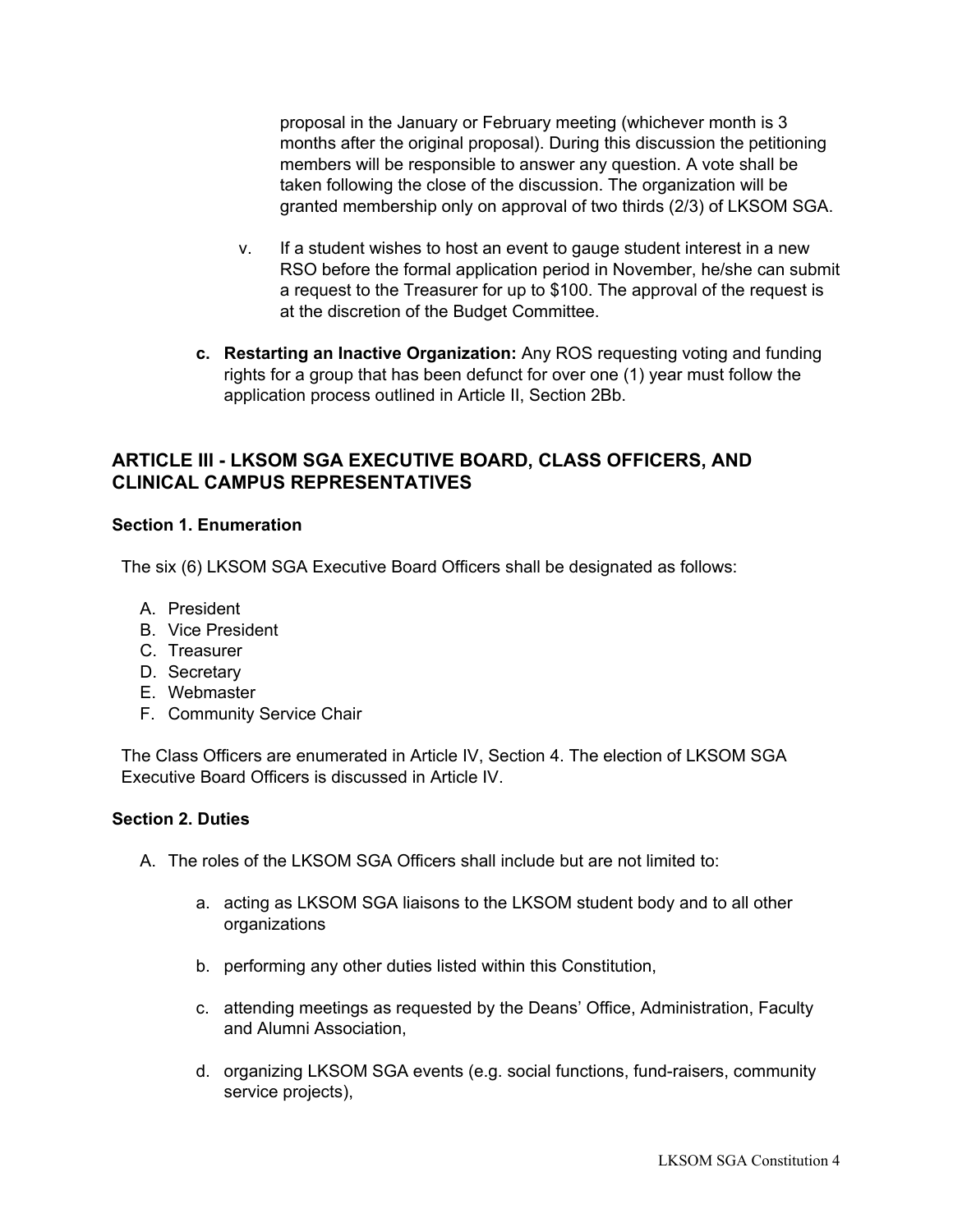proposal in the January or February meeting (whichever month is 3 months after the original proposal). During this discussion the petitioning members will be responsible to answer any question. A vote shall be taken following the close of the discussion. The organization will be granted membership only on approval of two thirds (2/3) of LKSOM SGA.

- v. If a student wishes to host an event to gauge student interest in a new RSO before the formal application period in November, he/she can submit a request to the Treasurer for up to \$100. The approval of the request is at the discretion of the Budget Committee.
- **c. Restarting an Inactive Organization:** Any ROS requesting voting and funding rights for a group that has been defunct for over one (1) year must follow the application process outlined in Article II, Section 2Bb.

# **ARTICLE III - LKSOM SGA EXECUTIVE BOARD, CLASS OFFICERS, AND CLINICAL CAMPUS REPRESENTATIVES**

### **Section 1. Enumeration**

The six (6) LKSOM SGA Executive Board Officers shall be designated as follows:

- A. President
- B. Vice President
- C. Treasurer
- D. Secretary
- E. Webmaster
- F. Community Service Chair

The Class Officers are enumerated in Article IV, Section 4. The election of LKSOM SGA Executive Board Officers is discussed in Article IV.

#### **Section 2. Duties**

- A. The roles of the LKSOM SGA Officers shall include but are not limited to:
	- a. acting as LKSOM SGA liaisons to the LKSOM student body and to all other organizations
	- b. performing any other duties listed within this Constitution,
	- c. attending meetings as requested by the Deans' Office, Administration, Faculty and Alumni Association,
	- d. organizing LKSOM SGA events (e.g. social functions, fund-raisers, community service projects),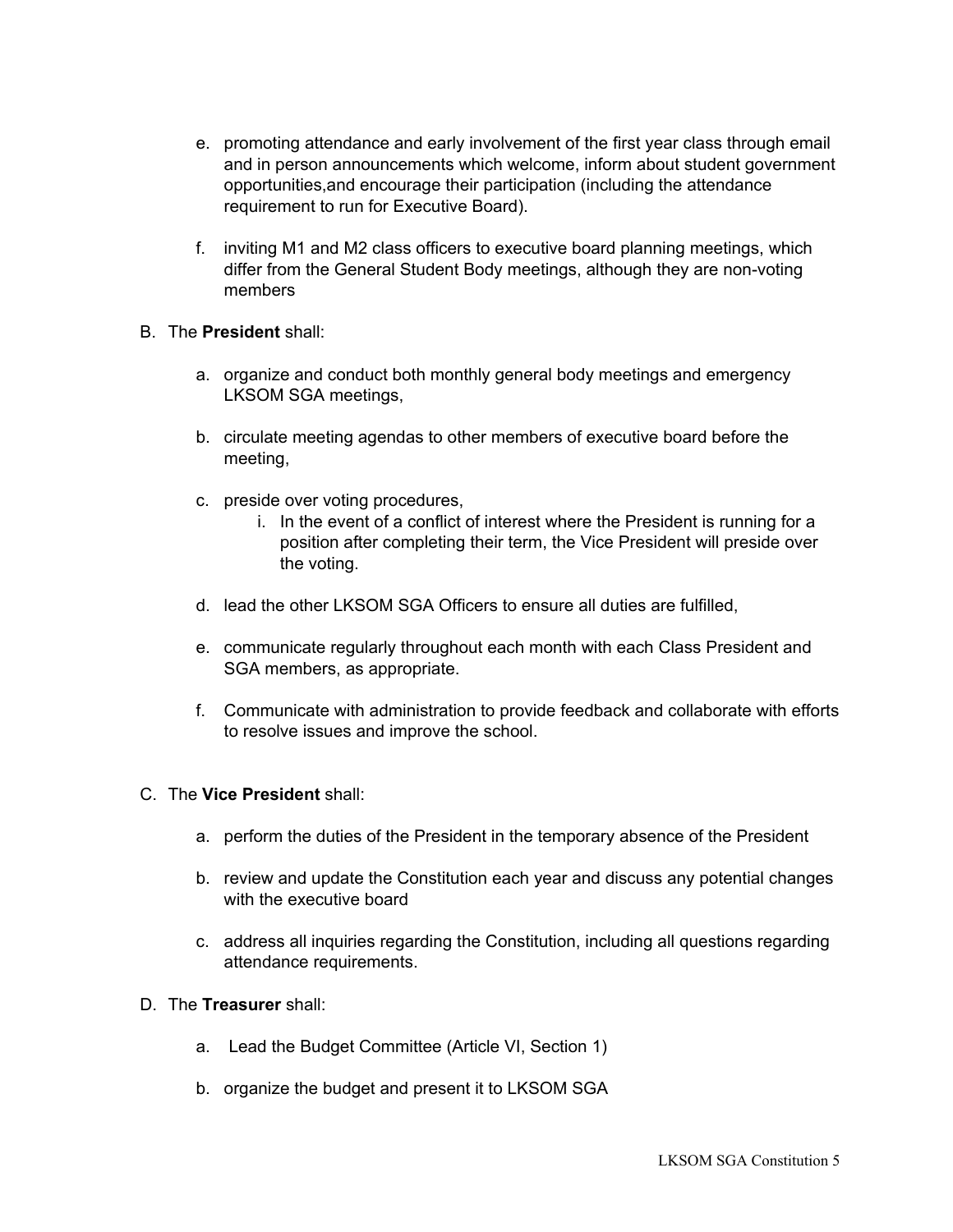- e. promoting attendance and early involvement of the first year class through email and in person announcements which welcome, inform about student government opportunities,and encourage their participation (including the attendance requirement to run for Executive Board).
- f. inviting M1 and M2 class officers to executive board planning meetings, which differ from the General Student Body meetings, although they are non-voting members
- B. The **President** shall:
	- a. organize and conduct both monthly general body meetings and emergency LKSOM SGA meetings,
	- b. circulate meeting agendas to other members of executive board before the meeting,
	- c. preside over voting procedures,
		- i. In the event of a conflict of interest where the President is running for a position after completing their term, the Vice President will preside over the voting.
	- d. lead the other LKSOM SGA Officers to ensure all duties are fulfilled,
	- e. communicate regularly throughout each month with each Class President and SGA members, as appropriate.
	- f. Communicate with administration to provide feedback and collaborate with efforts to resolve issues and improve the school.
- C. The **Vice President** shall:
	- a. perform the duties of the President in the temporary absence of the President
	- b. review and update the Constitution each year and discuss any potential changes with the executive board
	- c. address all inquiries regarding the Constitution, including all questions regarding attendance requirements.
- D. The **Treasurer** shall:
	- a. Lead the Budget Committee (Article VI, Section 1)
	- b. organize the budget and present it to LKSOM SGA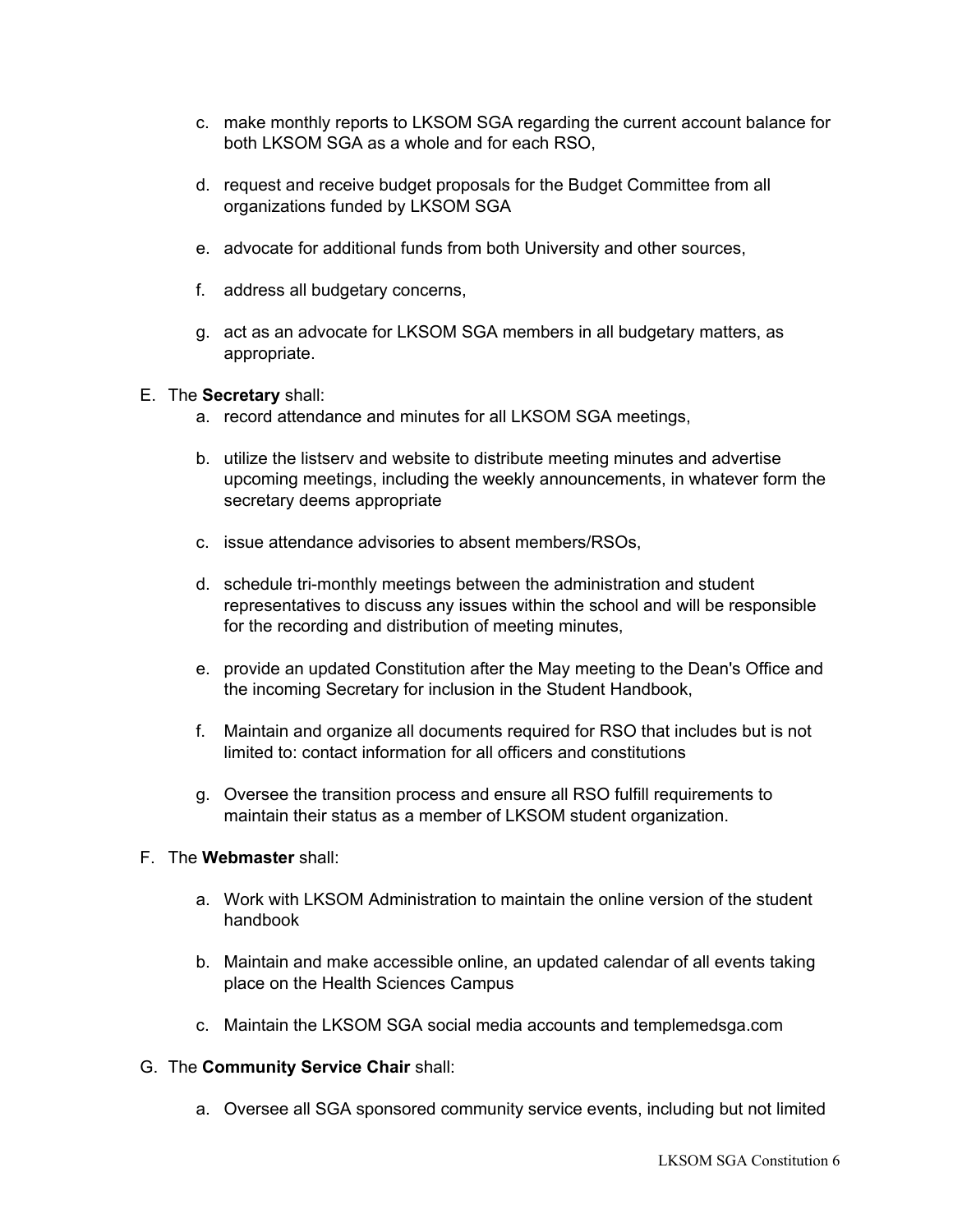- c. make monthly reports to LKSOM SGA regarding the current account balance for both LKSOM SGA as a whole and for each RSO,
- d. request and receive budget proposals for the Budget Committee from all organizations funded by LKSOM SGA
- e. advocate for additional funds from both University and other sources,
- f. address all budgetary concerns,
- g. act as an advocate for LKSOM SGA members in all budgetary matters, as appropriate.

### E. The **Secretary** shall:

- a. record attendance and minutes for all LKSOM SGA meetings,
- b. utilize the listserv and website to distribute meeting minutes and advertise upcoming meetings, including the weekly announcements, in whatever form the secretary deems appropriate
- c. issue attendance advisories to absent members/RSOs,
- d. schedule tri-monthly meetings between the administration and student representatives to discuss any issues within the school and will be responsible for the recording and distribution of meeting minutes,
- e. provide an updated Constitution after the May meeting to the Dean's Office and the incoming Secretary for inclusion in the Student Handbook,
- f. Maintain and organize all documents required for RSO that includes but is not limited to: contact information for all officers and constitutions
- g. Oversee the transition process and ensure all RSO fulfill requirements to maintain their status as a member of LKSOM student organization.

### F. The **Webmaster** shall:

- a. Work with LKSOM Administration to maintain the online version of the student handbook
- b. Maintain and make accessible online, an updated calendar of all events taking place on the Health Sciences Campus
- c. Maintain the LKSOM SGA social media accounts and templemedsga.com

### G. The **Community Service Chair** shall:

a. Oversee all SGA sponsored community service events, including but not limited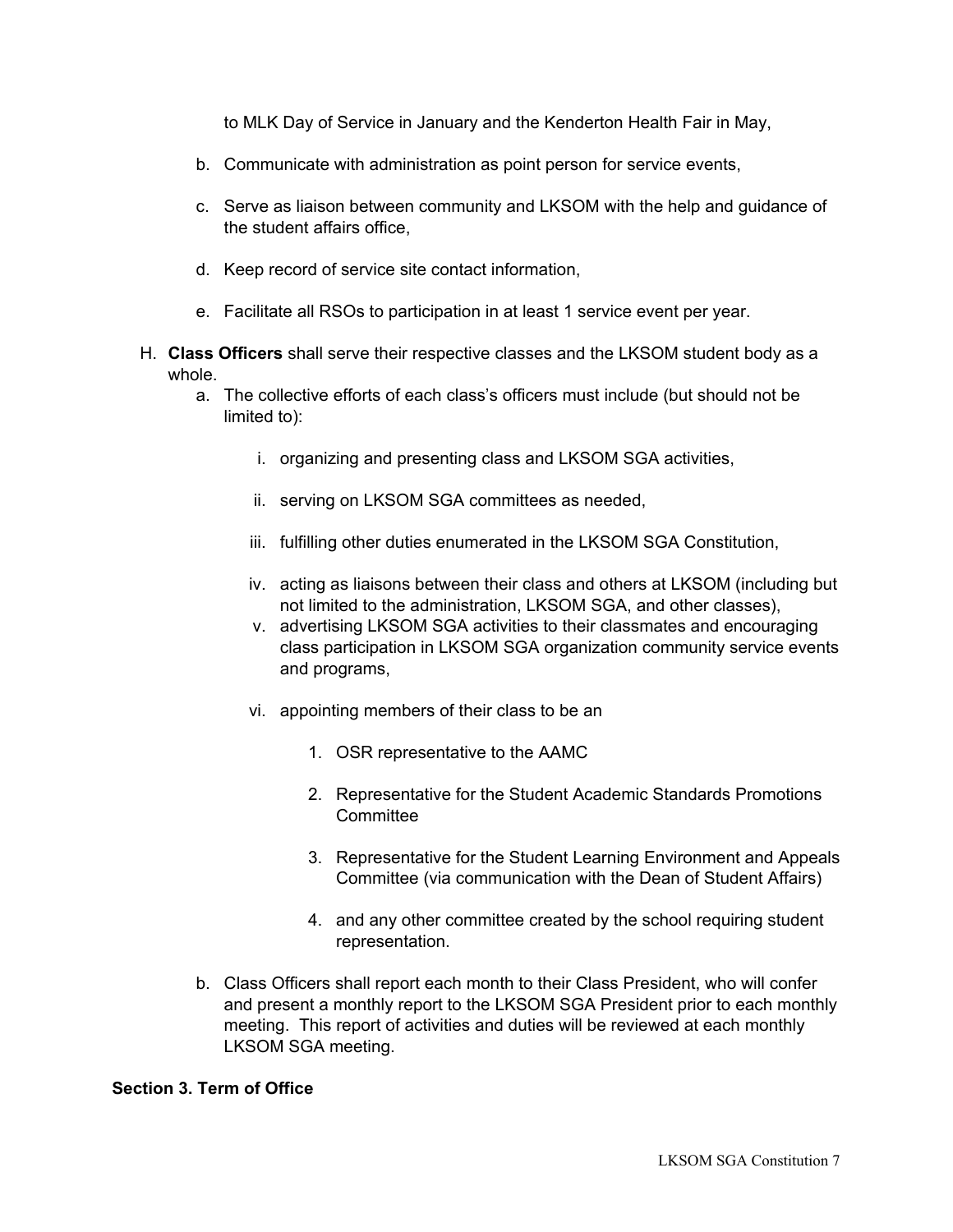to MLK Day of Service in January and the Kenderton Health Fair in May,

- b. Communicate with administration as point person for service events,
- c. Serve as liaison between community and LKSOM with the help and guidance of the student affairs office,
- d. Keep record of service site contact information,
- e. Facilitate all RSOs to participation in at least 1 service event per year.
- H. **Class Officers** shall serve their respective classes and the LKSOM student body as a whole.
	- a. The collective efforts of each class's officers must include (but should not be limited to):
		- i. organizing and presenting class and LKSOM SGA activities,
		- ii. serving on LKSOM SGA committees as needed,
		- iii. fulfilling other duties enumerated in the LKSOM SGA Constitution,
		- iv. acting as liaisons between their class and others at LKSOM (including but not limited to the administration, LKSOM SGA, and other classes),
		- v. advertising LKSOM SGA activities to their classmates and encouraging class participation in LKSOM SGA organization community service events and programs,
		- vi. appointing members of their class to be an
			- 1. OSR representative to the AAMC
			- 2. Representative for the Student Academic Standards Promotions **Committee**
			- 3. Representative for the Student Learning Environment and Appeals Committee (via communication with the Dean of Student Affairs)
			- 4. and any other committee created by the school requiring student representation.
	- b. Class Officers shall report each month to their Class President, who will confer and present a monthly report to the LKSOM SGA President prior to each monthly meeting. This report of activities and duties will be reviewed at each monthly LKSOM SGA meeting.

#### **Section 3. Term of Office**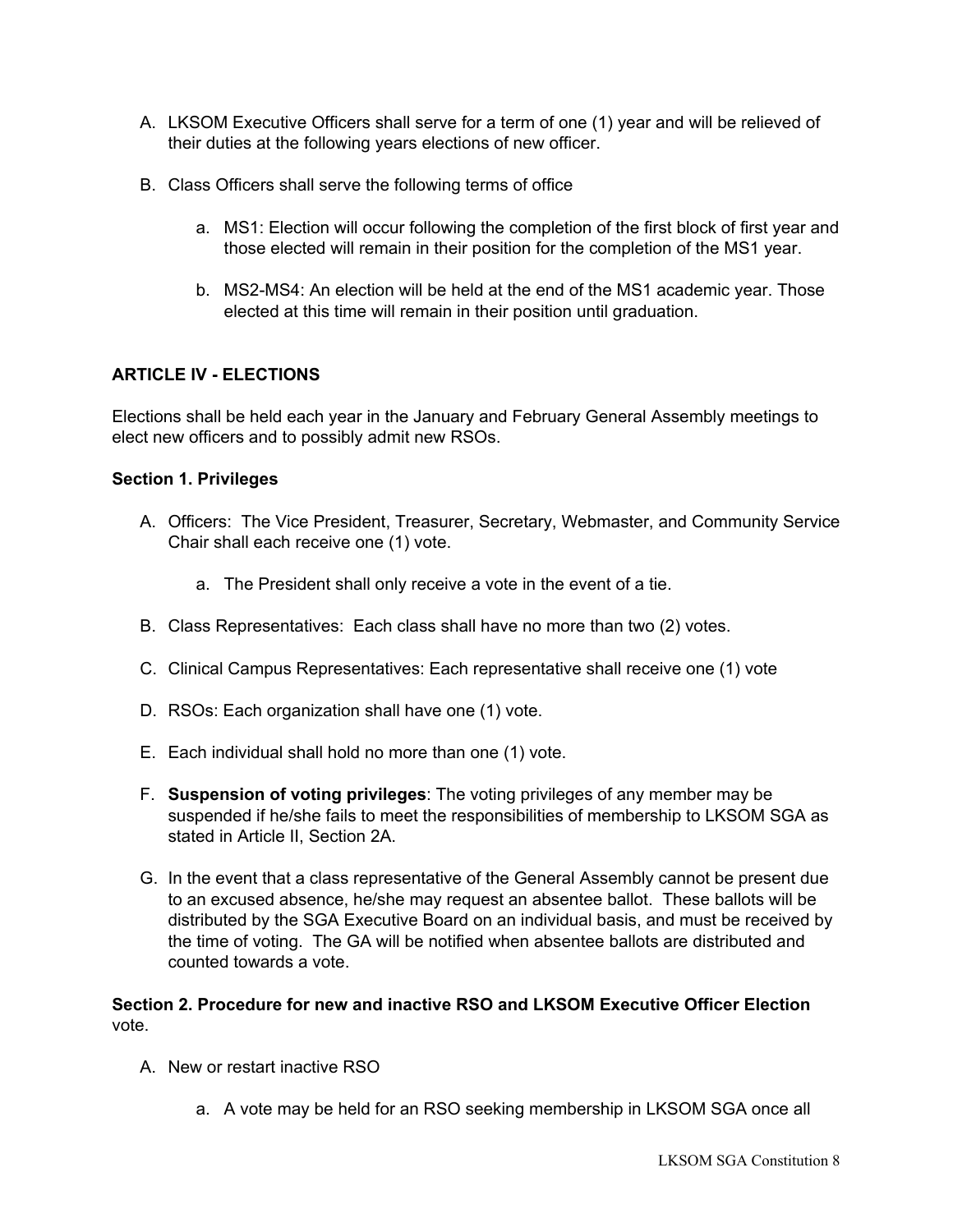- A. LKSOM Executive Officers shall serve for a term of one (1) year and will be relieved of their duties at the following years elections of new officer.
- B. Class Officers shall serve the following terms of office
	- a. MS1: Election will occur following the completion of the first block of first year and those elected will remain in their position for the completion of the MS1 year.
	- b. MS2-MS4: An election will be held at the end of the MS1 academic year. Those elected at this time will remain in their position until graduation.

## **ARTICLE IV - ELECTIONS**

Elections shall be held each year in the January and February General Assembly meetings to elect new officers and to possibly admit new RSOs.

### **Section 1. Privileges**

- A. Officers: The Vice President, Treasurer, Secretary, Webmaster, and Community Service Chair shall each receive one (1) vote.
	- a. The President shall only receive a vote in the event of a tie.
- B. Class Representatives: Each class shall have no more than two (2) votes.
- C. Clinical Campus Representatives: Each representative shall receive one (1) vote
- D. RSOs: Each organization shall have one (1) vote.
- E. Each individual shall hold no more than one (1) vote.
- F. **Suspension of voting privileges**: The voting privileges of any member may be suspended if he/she fails to meet the responsibilities of membership to LKSOM SGA as stated in Article II, Section 2A.
- G. In the event that a class representative of the General Assembly cannot be present due to an excused absence, he/she may request an absentee ballot. These ballots will be distributed by the SGA Executive Board on an individual basis, and must be received by the time of voting. The GA will be notified when absentee ballots are distributed and counted towards a vote.

# **Section 2. Procedure for new and inactive RSO and LKSOM Executive Officer Election** vote.

- A. New or restart inactive RSO
	- a. A vote may be held for an RSO seeking membership in LKSOM SGA once all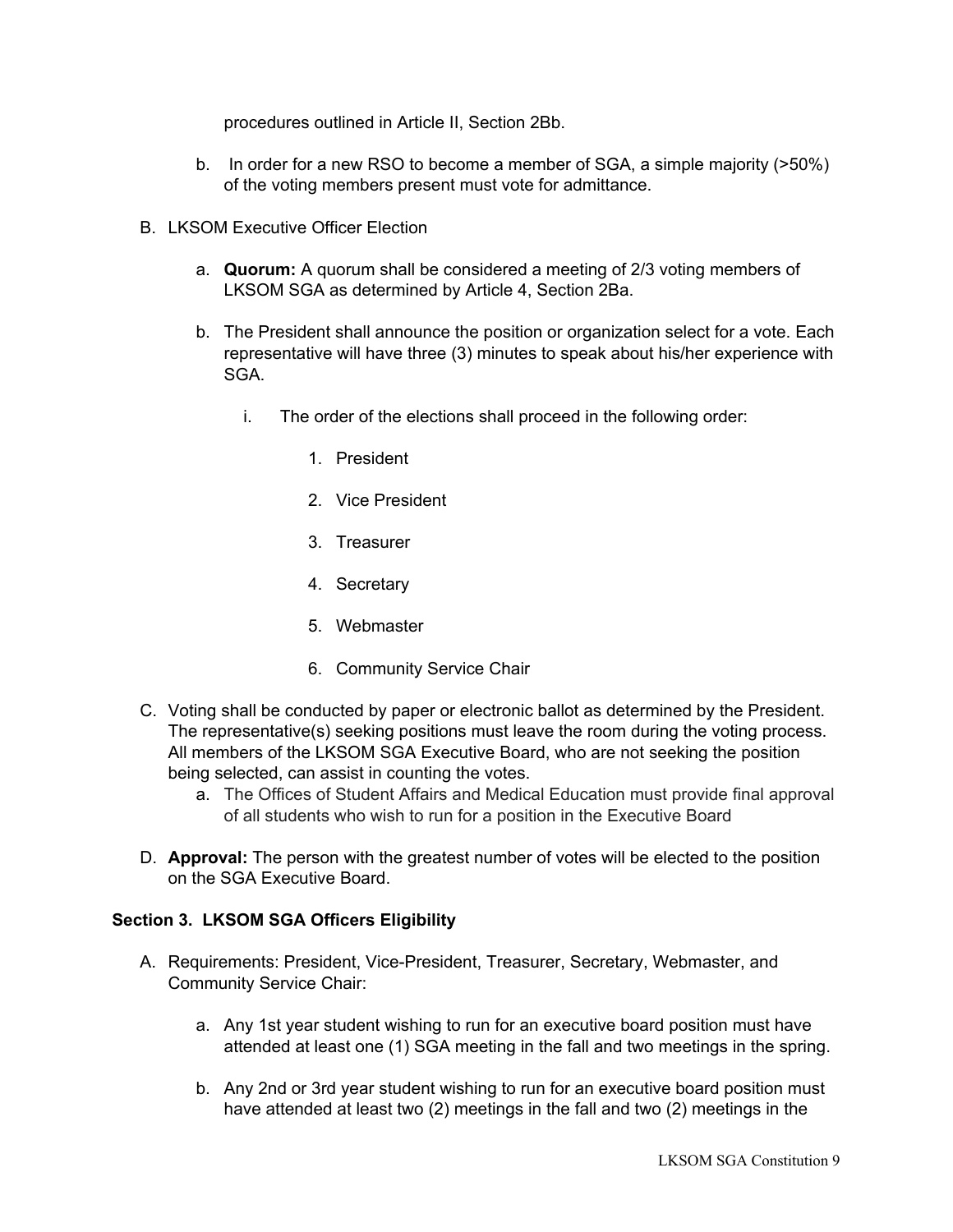procedures outlined in Article II, Section 2Bb.

- b. In order for a new RSO to become a member of SGA, a simple majority (>50%) of the voting members present must vote for admittance.
- B. LKSOM Executive Officer Election
	- a. **Quorum:** A quorum shall be considered a meeting of 2/3 voting members of LKSOM SGA as determined by Article 4, Section 2Ba.
	- b. The President shall announce the position or organization select for a vote. Each representative will have three (3) minutes to speak about his/her experience with SGA.
		- i. The order of the elections shall proceed in the following order:
			- 1. President
			- 2. Vice President
			- 3. Treasurer
			- 4. Secretary
			- 5. Webmaster
			- 6. Community Service Chair
- C. Voting shall be conducted by paper or electronic ballot as determined by the President. The representative(s) seeking positions must leave the room during the voting process. All members of the LKSOM SGA Executive Board, who are not seeking the position being selected, can assist in counting the votes.
	- a. The Offices of Student Affairs and Medical Education must provide final approval of all students who wish to run for a position in the Executive Board
- D. **Approval:** The person with the greatest number of votes will be elected to the position on the SGA Executive Board.

### **Section 3. LKSOM SGA Officers Eligibility**

- A. Requirements: President, Vice-President, Treasurer, Secretary, Webmaster, and Community Service Chair:
	- a. Any 1st year student wishing to run for an executive board position must have attended at least one (1) SGA meeting in the fall and two meetings in the spring.
	- b. Any 2nd or 3rd year student wishing to run for an executive board position must have attended at least two (2) meetings in the fall and two (2) meetings in the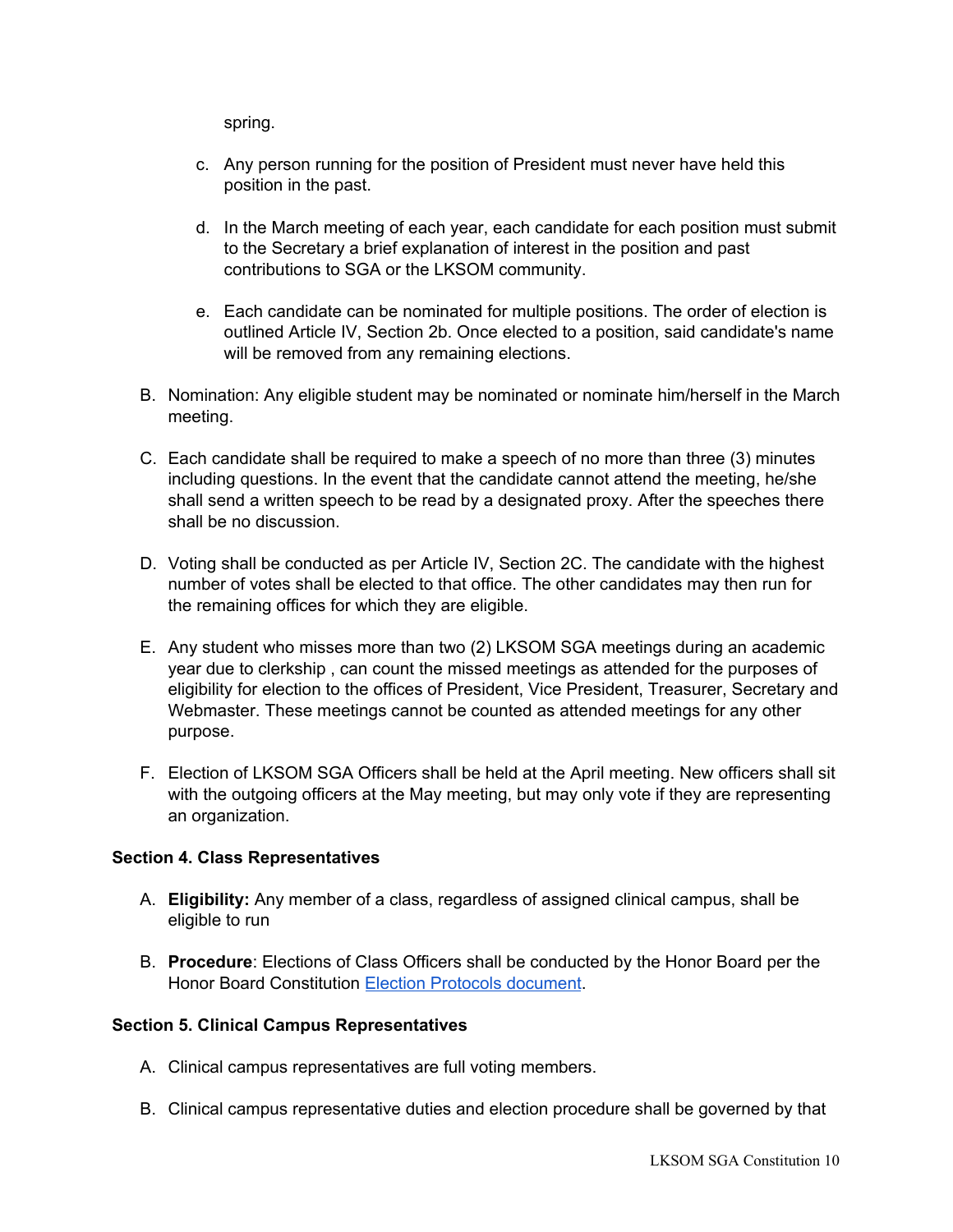spring.

- c. Any person running for the position of President must never have held this position in the past.
- d. In the March meeting of each year, each candidate for each position must submit to the Secretary a brief explanation of interest in the position and past contributions to SGA or the LKSOM community.
- e. Each candidate can be nominated for multiple positions. The order of election is outlined Article IV, Section 2b. Once elected to a position, said candidate's name will be removed from any remaining elections.
- B. Nomination: Any eligible student may be nominated or nominate him/herself in the March meeting.
- C. Each candidate shall be required to make a speech of no more than three (3) minutes including questions. In the event that the candidate cannot attend the meeting, he/she shall send a written speech to be read by a designated proxy. After the speeches there shall be no discussion.
- D. Voting shall be conducted as per Article IV, Section 2C. The candidate with the highest number of votes shall be elected to that office. The other candidates may then run for the remaining offices for which they are eligible.
- E. Any student who misses more than two (2) LKSOM SGA meetings during an academic year due to clerkship , can count the missed meetings as attended for the purposes of eligibility for election to the offices of President, Vice President, Treasurer, Secretary and Webmaster. These meetings cannot be counted as attended meetings for any other purpose.
- F. Election of LKSOM SGA Officers shall be held at the April meeting. New officers shall sit with the outgoing officers at the May meeting, but may only vote if they are representing an organization.

### **Section 4. Class Representatives**

- A. **Eligibility:** Any member of a class, regardless of assigned clinical campus, shall be eligible to run
- B. **Procedure**: Elections of Class Officers shall be conducted by the Honor Board per the Honor Board Constitution Election Protocols [document.](https://docs.google.com/document/d/1jk-SoerCUSrf7q7l0QZTQ13J9UJtNtkfKCKxTeaM7d8/edit)

### **Section 5. Clinical Campus Representatives**

- A. Clinical campus representatives are full voting members.
- B. Clinical campus representative duties and election procedure shall be governed by that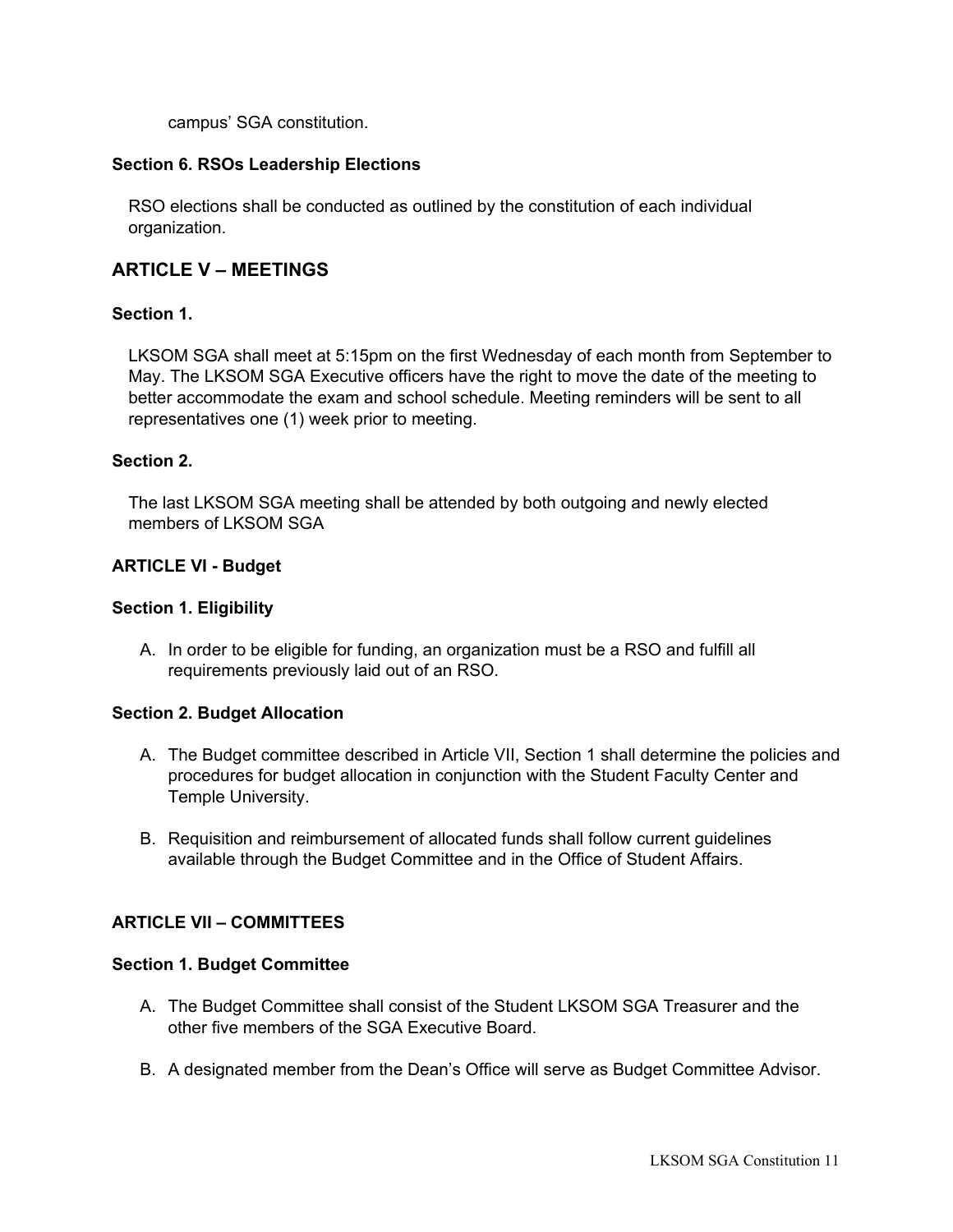campus' SGA constitution.

### **Section 6. RSOs Leadership Elections**

RSO elections shall be conducted as outlined by the constitution of each individual organization.

# **ARTICLE V – MEETINGS**

#### **Section 1.**

LKSOM SGA shall meet at 5:15pm on the first Wednesday of each month from September to May. The LKSOM SGA Executive officers have the right to move the date of the meeting to better accommodate the exam and school schedule. Meeting reminders will be sent to all representatives one (1) week prior to meeting.

#### **Section 2.**

The last LKSOM SGA meeting shall be attended by both outgoing and newly elected members of LKSOM SGA

#### **ARTICLE VI - Budget**

#### **Section 1. Eligibility**

A. In order to be eligible for funding, an organization must be a RSO and fulfill all requirements previously laid out of an RSO.

#### **Section 2. Budget Allocation**

- A. The Budget committee described in Article VII, Section 1 shall determine the policies and procedures for budget allocation in conjunction with the Student Faculty Center and Temple University.
- B. Requisition and reimbursement of allocated funds shall follow current guidelines available through the Budget Committee and in the Office of Student Affairs.

### **ARTICLE VII – COMMITTEES**

#### **Section 1. Budget Committee**

- A. The Budget Committee shall consist of the Student LKSOM SGA Treasurer and the other five members of the SGA Executive Board.
- B. A designated member from the Dean's Office will serve as Budget Committee Advisor.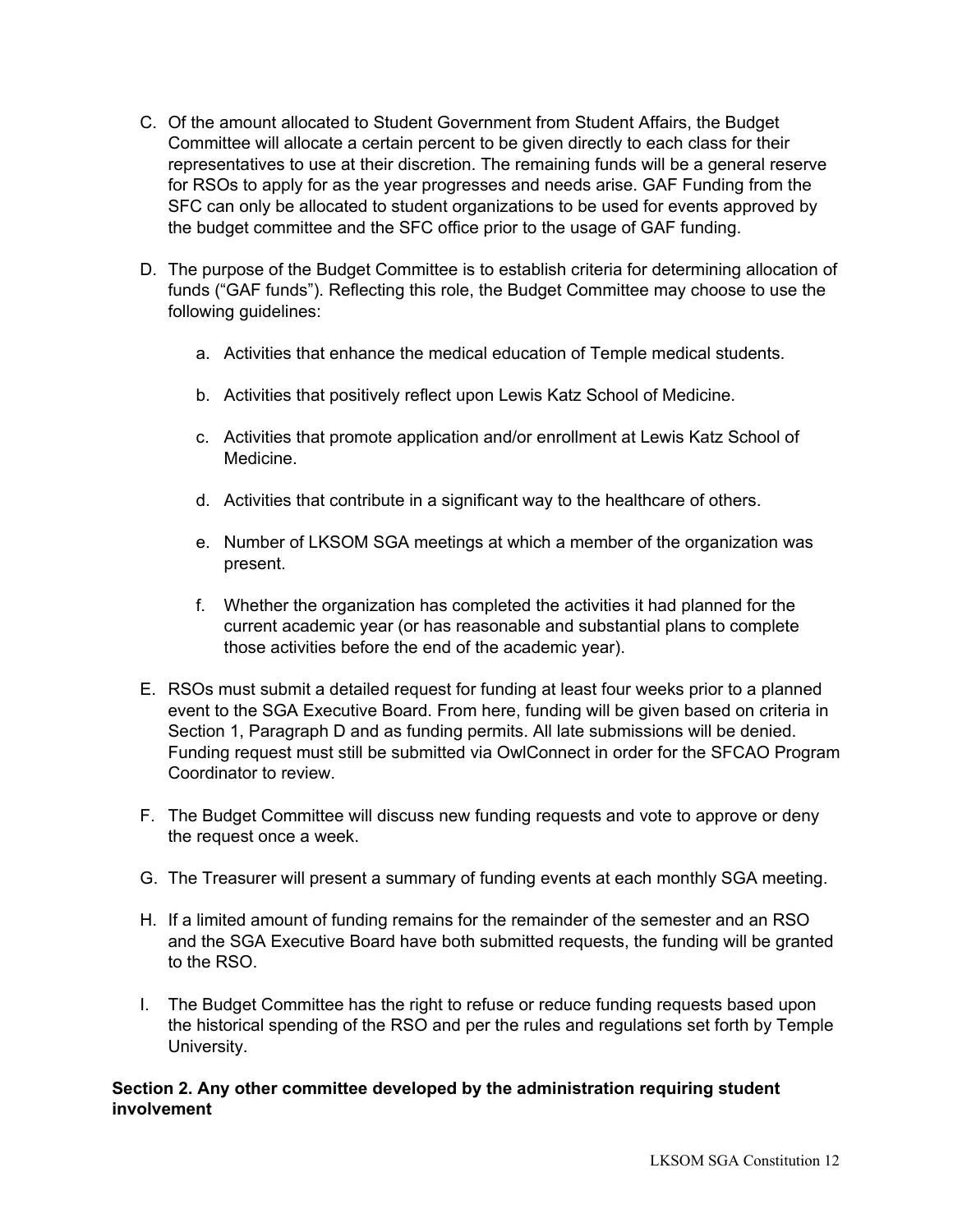- C. Of the amount allocated to Student Government from Student Affairs, the Budget Committee will allocate a certain percent to be given directly to each class for their representatives to use at their discretion. The remaining funds will be a general reserve for RSOs to apply for as the year progresses and needs arise. GAF Funding from the SFC can only be allocated to student organizations to be used for events approved by the budget committee and the SFC office prior to the usage of GAF funding.
- D. The purpose of the Budget Committee is to establish criteria for determining allocation of funds ("GAF funds"). Reflecting this role, the Budget Committee may choose to use the following guidelines:
	- a. Activities that enhance the medical education of Temple medical students.
	- b. Activities that positively reflect upon Lewis Katz School of Medicine.
	- c. Activities that promote application and/or enrollment at Lewis Katz School of Medicine.
	- d. Activities that contribute in a significant way to the healthcare of others.
	- e. Number of LKSOM SGA meetings at which a member of the organization was present.
	- f. Whether the organization has completed the activities it had planned for the current academic year (or has reasonable and substantial plans to complete those activities before the end of the academic year).
- E. RSOs must submit a detailed request for funding at least four weeks prior to a planned event to the SGA Executive Board. From here, funding will be given based on criteria in Section 1, Paragraph D and as funding permits. All late submissions will be denied. Funding request must still be submitted via OwlConnect in order for the SFCAO Program Coordinator to review.
- F. The Budget Committee will discuss new funding requests and vote to approve or deny the request once a week.
- G. The Treasurer will present a summary of funding events at each monthly SGA meeting.
- H. If a limited amount of funding remains for the remainder of the semester and an RSO and the SGA Executive Board have both submitted requests, the funding will be granted to the RSO.
- I. The Budget Committee has the right to refuse or reduce funding requests based upon the historical spending of the RSO and per the rules and regulations set forth by Temple University.

## **Section 2. Any other committee developed by the administration requiring student involvement**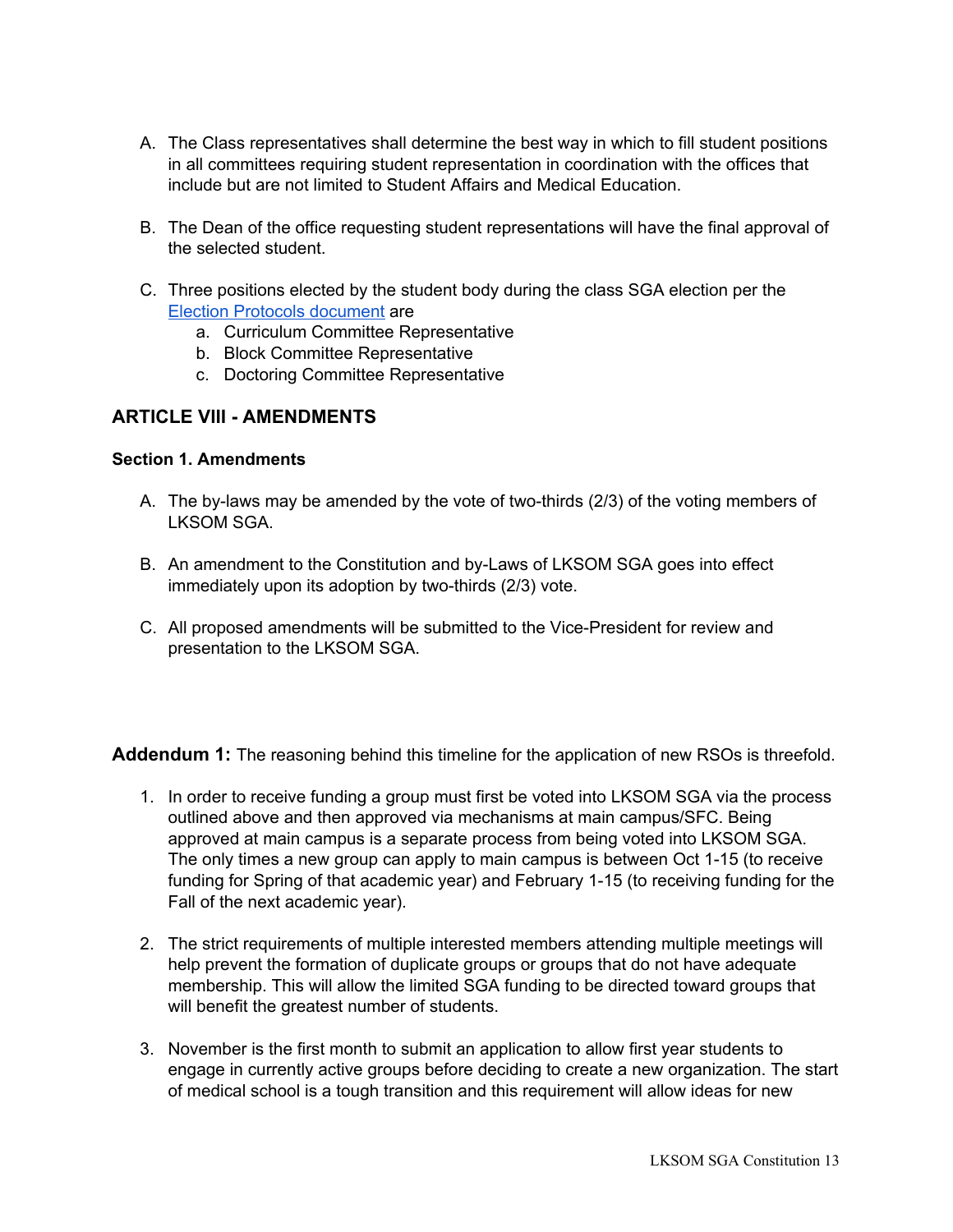- A. The Class representatives shall determine the best way in which to fill student positions in all committees requiring student representation in coordination with the offices that include but are not limited to Student Affairs and Medical Education.
- B. The Dean of the office requesting student representations will have the final approval of the selected student.
- C. Three positions elected by the student body during the class SGA election per the Election Protocols [document](https://docs.google.com/document/d/1jk-SoerCUSrf7q7l0QZTQ13J9UJtNtkfKCKxTeaM7d8/edit) are
	- a. Curriculum Committee Representative
	- b. Block Committee Representative
	- c. Doctoring Committee Representative

# **ARTICLE VIII - AMENDMENTS**

### **Section 1. Amendments**

- A. The by-laws may be amended by the vote of two-thirds (2/3) of the voting members of LKSOM SGA.
- B. An amendment to the Constitution and by-Laws of LKSOM SGA goes into effect immediately upon its adoption by two-thirds (2/3) vote.
- C. All proposed amendments will be submitted to the Vice-President for review and presentation to the LKSOM SGA.

**Addendum 1:** The reasoning behind this timeline for the application of new RSOs is threefold.

- 1. In order to receive funding a group must first be voted into LKSOM SGA via the process outlined above and then approved via mechanisms at main campus/SFC. Being approved at main campus is a separate process from being voted into LKSOM SGA. The only times a new group can apply to main campus is between Oct 1-15 (to receive funding for Spring of that academic year) and February 1-15 (to receiving funding for the Fall of the next academic year).
- 2. The strict requirements of multiple interested members attending multiple meetings will help prevent the formation of duplicate groups or groups that do not have adequate membership. This will allow the limited SGA funding to be directed toward groups that will benefit the greatest number of students.
- 3. November is the first month to submit an application to allow first year students to engage in currently active groups before deciding to create a new organization. The start of medical school is a tough transition and this requirement will allow ideas for new